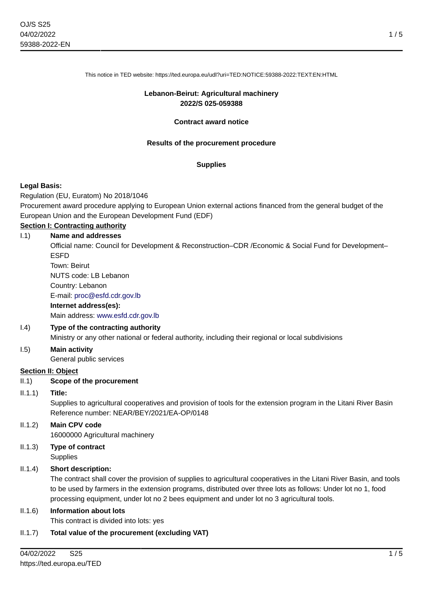This notice in TED website: https://ted.europa.eu/udl?uri=TED:NOTICE:59388-2022:TEXT:EN:HTML

#### **Lebanon-Beirut: Agricultural machinery 2022/S 025-059388**

#### **Contract award notice**

#### **Results of the procurement procedure**

#### **Supplies**

#### **Legal Basis:**

Regulation (EU, Euratom) No 2018/1046

Procurement award procedure applying to European Union external actions financed from the general budget of the European Union and the European Development Fund (EDF)

### **Section I: Contracting authority**

#### I.1) **Name and addresses**

Official name: Council for Development & Reconstruction–CDR /Economic & Social Fund for Development– **ESED** 

Town: Beirut NUTS code: LB Lebanon Country: Lebanon E-mail: [proc@esfd.cdr.gov.lb](mailto:proc@esfd.cdr.gov.lb) **Internet address(es):**

# Main address:<www.esfd.cdr.gov.lb>

#### I.4) **Type of the contracting authority**

Ministry or any other national or federal authority, including their regional or local subdivisions

#### I.5) **Main activity**

General public services

#### **Section II: Object**

#### II.1) **Scope of the procurement**

#### II.1.1) **Title:**

Supplies to agricultural cooperatives and provision of tools for the extension program in the Litani River Basin Reference number: NEAR/BEY/2021/EA-OP/0148

#### II.1.2) **Main CPV code**

16000000 Agricultural machinery

#### II.1.3) **Type of contract Supplies**

#### II.1.4) **Short description:**

The contract shall cover the provision of supplies to agricultural cooperatives in the Litani River Basin, and tools to be used by farmers in the extension programs, distributed over three lots as follows: Under lot no 1, food processing equipment, under lot no 2 bees equipment and under lot no 3 agricultural tools.

#### II.1.6) **Information about lots**

This contract is divided into lots: yes

#### II.1.7) **Total value of the procurement (excluding VAT)**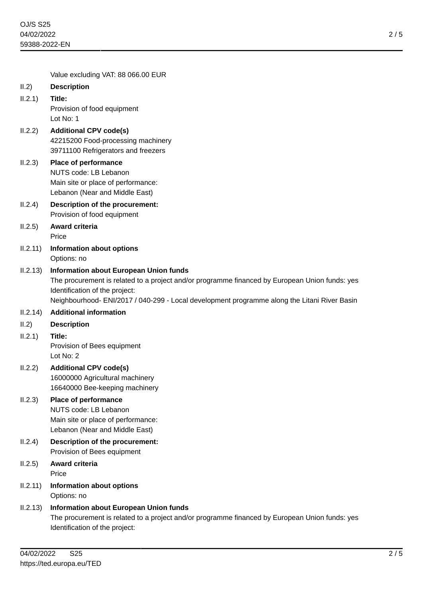2 / 5

Value excluding VAT: 88 066.00 EUR

| II.2)   | <b>Description</b> |
|---------|--------------------|
| II.2.1) | Title:             |

Provision of food equipment Lot No: 1

- II.2.2) **Additional CPV code(s)** 42215200 Food-processing machinery 39711100 Refrigerators and freezers
- II.2.3) **Place of performance** NUTS code: LB Lebanon Main site or place of performance: Lebanon (Near and Middle East)
- II.2.4) **Description of the procurement:** Provision of food equipment
- II.2.5) **Award criteria** Price
- II.2.11) **Information about options** Options: no

## II.2.13) **Information about European Union funds**

The procurement is related to a project and/or programme financed by European Union funds: yes Identification of the project:

Neighbourhood- ENI/2017 / 040-299 - Local development programme along the Litani River Basin

- II.2.14) **Additional information**
- II.2) **Description**
- II.2.1) **Title:**

Provision of Bees equipment Lot No: 2

II.2.2) **Additional CPV code(s)** 16000000 Agricultural machinery 16640000 Bee-keeping machinery

# II.2.3) **Place of performance**

NUTS code: LB Lebanon Main site or place of performance: Lebanon (Near and Middle East)

- II.2.4) **Description of the procurement:** Provision of Bees equipment
- II.2.5) **Award criteria** Price
- II.2.11) **Information about options** Options: no
- II.2.13) **Information about European Union funds** The procurement is related to a project and/or programme financed by European Union funds: yes Identification of the project: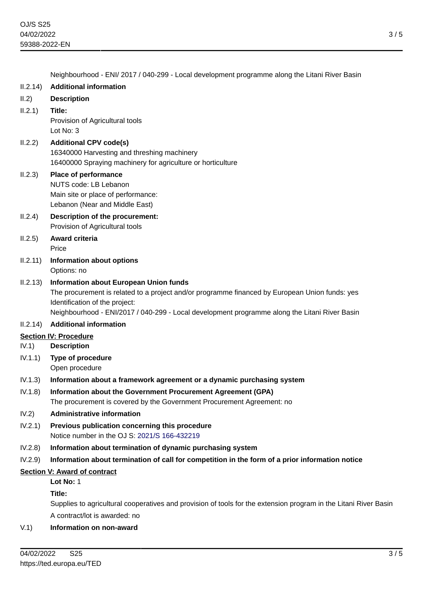|                                     | Neighbourhood - ENI/ 2017 / 040-299 - Local development programme along the Litani River Basin                                                                                                                                                                                     |  |
|-------------------------------------|------------------------------------------------------------------------------------------------------------------------------------------------------------------------------------------------------------------------------------------------------------------------------------|--|
| II.2.14)                            | <b>Additional information</b>                                                                                                                                                                                                                                                      |  |
| II.2)                               | <b>Description</b>                                                                                                                                                                                                                                                                 |  |
| II.2.1)                             | Title:<br>Provision of Agricultural tools<br>Lot No: 3                                                                                                                                                                                                                             |  |
| II.2.2)                             | <b>Additional CPV code(s)</b><br>16340000 Harvesting and threshing machinery<br>16400000 Spraying machinery for agriculture or horticulture                                                                                                                                        |  |
| II.2.3)                             | Place of performance<br>NUTS code: LB Lebanon<br>Main site or place of performance:<br>Lebanon (Near and Middle East)                                                                                                                                                              |  |
| II.2.4)                             | Description of the procurement:<br>Provision of Agricultural tools                                                                                                                                                                                                                 |  |
| II.2.5)                             | Award criteria<br>Price                                                                                                                                                                                                                                                            |  |
| II.2.11)                            | <b>Information about options</b><br>Options: no                                                                                                                                                                                                                                    |  |
| II.2.13)                            | <b>Information about European Union funds</b><br>The procurement is related to a project and/or programme financed by European Union funds: yes<br>Identification of the project:<br>Neighbourhood - ENI/2017 / 040-299 - Local development programme along the Litani River Basin |  |
| II.2.14)                            | <b>Additional information</b>                                                                                                                                                                                                                                                      |  |
| <b>Section IV: Procedure</b>        |                                                                                                                                                                                                                                                                                    |  |
| IV.1)                               | <b>Description</b>                                                                                                                                                                                                                                                                 |  |
| IV.1.1)                             | Type of procedure<br>Open procedure                                                                                                                                                                                                                                                |  |
| IV.1.3)                             | Information about a framework agreement or a dynamic purchasing system                                                                                                                                                                                                             |  |
| IV.1.8)                             | Information about the Government Procurement Agreement (GPA)<br>The procurement is covered by the Government Procurement Agreement: no                                                                                                                                             |  |
| IV.2)                               | <b>Administrative information</b>                                                                                                                                                                                                                                                  |  |
| IV.2.1)                             | Previous publication concerning this procedure<br>Notice number in the OJ S: 2021/S 166-432219                                                                                                                                                                                     |  |
| IV.2.8)                             | Information about termination of dynamic purchasing system                                                                                                                                                                                                                         |  |
| IV.2.9)                             | Information about termination of call for competition in the form of a prior information notice                                                                                                                                                                                    |  |
| <b>Section V: Award of contract</b> |                                                                                                                                                                                                                                                                                    |  |
|                                     | Lot No: 1                                                                                                                                                                                                                                                                          |  |
|                                     | Title:                                                                                                                                                                                                                                                                             |  |
|                                     | Supplies to agricultural cooperatives and provision of tools for the extension program in the Litani River Basin                                                                                                                                                                   |  |

A contract/lot is awarded: no

# V.1) **Information on non-award**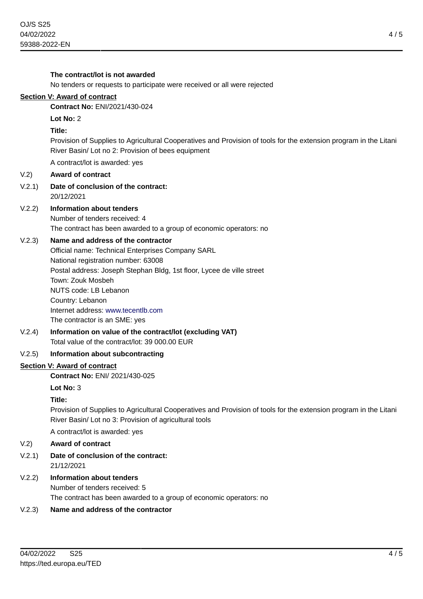**The contract/lot is not awarded**

# No tenders or requests to participate were received or all were rejected **Section V: Award of contract Contract No:** ENI/2021/430-024 **Lot No:** 2 **Title:** Provision of Supplies to Agricultural Cooperatives and Provision of tools for the extension program in the Litani River Basin/ Lot no 2: Provision of bees equipment A contract/lot is awarded: yes V.2) **Award of contract** V.2.1) **Date of conclusion of the contract:** 20/12/2021 V.2.2) **Information about tenders** Number of tenders received: 4 The contract has been awarded to a group of economic operators: no V.2.3) **Name and address of the contractor** Official name: Technical Enterprises Company SARL National registration number: 63008 Postal address: Joseph Stephan Bldg, 1st floor, Lycee de ville street Town: Zouk Mosbeh NUTS code: LB Lebanon Country: Lebanon Internet address: <www.tecentlb.com> The contractor is an SME: yes V.2.4) **Information on value of the contract/lot (excluding VAT)** Total value of the contract/lot: 39 000.00 EUR V.2.5) **Information about subcontracting Section V: Award of contract Contract No:** ENI/ 2021/430-025 **Lot No:** 3 **Title:** Provision of Supplies to Agricultural Cooperatives and Provision of tools for the extension program in the Litani River Basin/ Lot no 3: Provision of agricultural tools A contract/lot is awarded: yes V.2) **Award of contract** V.2.1) **Date of conclusion of the contract:** 21/12/2021 V.2.2) **Information about tenders** Number of tenders received: 5 The contract has been awarded to a group of economic operators: no V.2.3) **Name and address of the contractor**